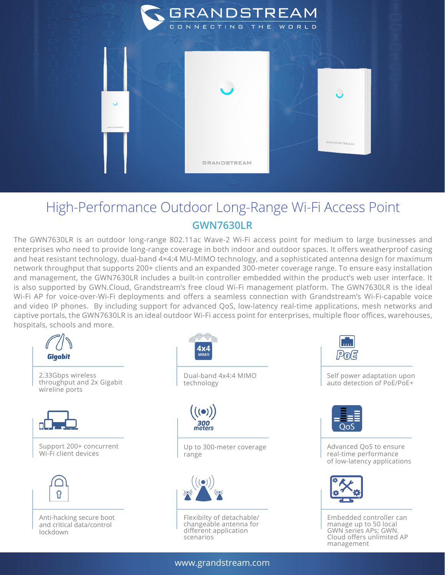

## High-Performance Outdoor Long-Range Wi-Fi Access Point **GWN7630LR**

The GWN7630LR is an outdoor long-range 802.11ac Wave-2 Wi-Fi access point for medium to large businesses and enterprises who need to provide long-range coverage in both indoor and outdoor spaces. It offers weatherproof casing and heat resistant technology, dual-band 4×4:4 MU-MIMO technology, and a sophisticated antenna design for maximum network throughput that supports 200+ clients and an expanded 300-meter coverage range. To ensure easy installation and management, the GWN7630LR includes a built-in controller embedded within the product's web user interface. It is also supported by GWN.Cloud, Grandstream's free cloud Wi-Fi management platform. The GWN7630LR is the ideal Wi-Fi AP for voice-over-Wi-Fi deployments and offers a seamless connection with Grandstream's Wi-Fi-capable voice and video IP phones. By including support for advanced QoS, low-latency real-time applications, mesh networks and captive portals, the GWN7630LR is an ideal outdoor Wi-Fi access point for enterprises, multiple floor offices, warehouses, hospitals, schools and more.



Pola

Self power adaptation upon auto detection of PoE/PoE+



Advanced QoS to ensure real-time performance of low-latency applications



Embedded controller can manage up to 50 local GWN series APs; GWN. Cloud offers unlimited AP management